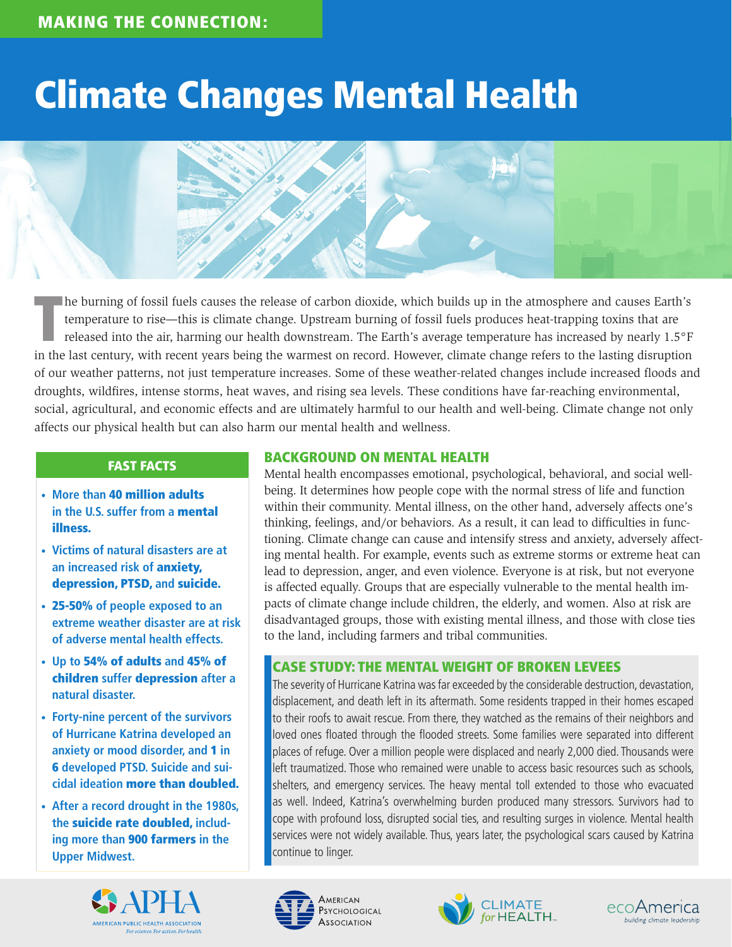## Climate Changes Mental Health



T he burning of fossil fuels causes the release of carbon dioxide, which builds up in the atmosphere and causes Earth's temperature to rise—this is climate change. Upstream burning of fossil fuels produces heat-trapping toxins that are released into the air, harming our health downstream. The Earth's average temperature has increased by nearly 1.5°F in the last century, with recent years being the warmest on record. However, climate change refers to the lasting disruption of our weather patterns, not just temperature increases. Some of these weather-related changes include increased floods and droughts, wildfires, intense storms, heat waves, and rising sea levels. These conditions have far-reaching environmental, social, agricultural, and economic effects and are ultimately harmful to our health and well-being. Climate change not only affects our physical health but can also harm our mental health and wellness.

#### FAST FACTS

- **• More than** 40 million adults **in the U.S. suffer from a** mental illness.
- **• Victims of natural disasters are at an increased risk of** anxiety, depression, PTSD, **and** suicide.
- **•** 25-50% **of people exposed to an extreme weather disaster are at risk of adverse mental health effects.**
- **• Up to** 54% of adults **and** 45% of children **suffer** depression **after a natural disaster.**
- **• Forty-nine percent of the survivors of Hurricane Katrina developed an anxiety or mood disorder, and** 1 **in**  6 **developed PTSD. Suicide and suicidal ideation** more than doubled.
- **• After a record drought in the 1980s, the** suicide rate doubled, **including more than** 900 farmers **in the Upper Midwest.**



#### BACKGROUND ON MENTAL HEALTH

Mental health encompasses emotional, psychological, behavioral, and social wellbeing. It determines how people cope with the normal stress of life and function within their community. Mental illness, on the other hand, adversely affects one's thinking, feelings, and/or behaviors. As a result, it can lead to difficulties in functioning. Climate change can cause and intensify stress and anxiety, adversely affecting mental health. For example, events such as extreme storms or extreme heat can lead to depression, anger, and even violence. Everyone is at risk, but not everyone is affected equally. Groups that are especially vulnerable to the mental health impacts of climate change include children, the elderly, and women. Also at risk are disadvantaged groups, those with existing mental illness, and those with close ties to the land, including farmers and tribal communities.

#### CASE STUDY: THE MENTAL WEIGHT OF BROKEN LEVEES

The severity of Hurricane Katrina was far exceeded by the considerable destruction, devastation, displacement, and death left in its aftermath. Some residents trapped in their homes escaped to their roofs to await rescue. From there, they watched as the remains of their neighbors and loved ones floated through the flooded streets. Some families were separated into different places of refuge. Over a million people were displaced and nearly 2,000 died. Thousands were left traumatized. Those who remained were unable to access basic resources such as schools, shelters, and emergency services. The heavy mental toll extended to those who evacuated as well. Indeed, Katrina's overwhelming burden produced many stressors. Survivors had to cope with profound loss, disrupted social ties, and resulting surges in violence. Mental health services were not widely available. Thus, years later, the psychological scars caused by Katrina continue to linger.